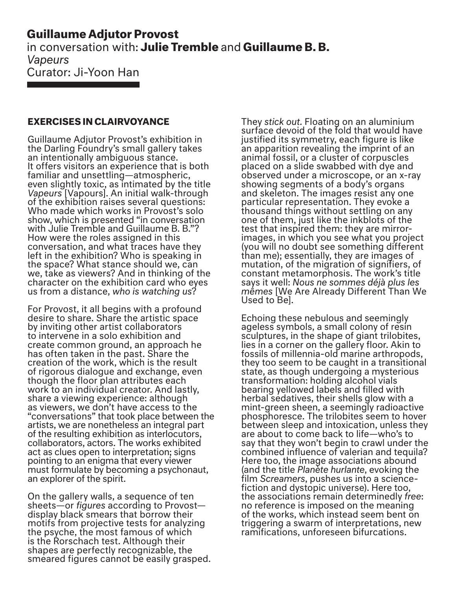## **Guillaume Adjutor Provost**  in conversation with: **Julie Tremble** and **Guillaume B. B.** *Vapeurs* Curator: Ji-Yoon Han

## **EXERCISES IN CLAIRVOYANCE**

Guillaume Adjutor Provost's exhibition in the Darling Foundry's small gallery takes an intentionally ambiguous stance. It offers visitors an experience that is both familiar and unsettling—atmospheric, even slightly toxic, as intimated by the title *Vapeurs* [Vapours]. An initial walk-through of the exhibition raises several questions: Who made which works in Provost's solo show, which is presented "in conversation with Julie Tremble and Guillaume B. B."? How were the roles assigned in this conversation, and what traces have they left in the exhibition? Who is speaking in the space? What stance should we, can we, take as viewers? And in thinking of the character on the exhibition card who eyes us from a distance, *who is watching us*?

For Provost, it all begins with a profound desire to share. Share the artistic space by inviting other artist collaborators to intervene in a solo exhibition and create common ground, an approach he has often taken in the past. Share the creation of the work, which is the result of rigorous dialogue and exchange, even though the floor plan attributes each work to an individual creator. And lastly, share a viewing experience: although as viewers, we don't have access to the "conversations" that took place between the artists, we are nonetheless an integral part of the resulting exhibition as interlocutors, collaborators, actors. The works exhibited act as clues open to interpretation; signs pointing to an enigma that every viewer must formulate by becoming a psychonaut, an explorer of the spirit.

On the gallery walls, a sequence of ten sheets—or *figures* according to Provost display black smears that borrow their motifs from projective tests for analyzing the psyche, the most famous of which is the Rorschach test. Although their shapes are perfectly recognizable, the smeared figures cannot be easily grasped. They *stick out.* Floating on an aluminium surface devoid of the fold that would have justified its symmetry, each figure is like an apparition revealing the imprint of an animal fossil, or a cluster of corpuscles placed on a slide swabbed with dye and observed under a microscope, or an x-ray showing segments of a body's organs and skeleton. The images resist any one particular representation. They evoke a thousand things without settling on any one of them, just like the inkblots of the test that inspired them: they are mirrorimages, in which you see what you project (you will no doubt see something different than me); essentially, they are images of mutation, of the migration of signifiers, of constant metamorphosis. The work's title says it well: *Nous ne sommes déjà plus les mêmes* [We Are Already Different Than We Used to Be].

Echoing these nebulous and seemingly ageless symbols, a small colony of resin sculptures, in the shape of giant trilobites, lies in a corner on the gallery floor. Akin to fossils of millennia-old marine arthropods, they too seem to be caught in a transitional state, as though undergoing a mysterious transformation: holding alcohol vials bearing yellowed labels and filled with herbal sedatives, their shells glow with a mint-green sheen, a seemingly radioactive phosphoresce. The trilobites seem to hover between sleep and intoxication, unless they are about to come back to life—who's to say that they won't begin to crawl under the combined influence of valerian and tequila? Here too, the image associations abound (and the title *Planète hurlante*, evoking the film *Screamers*, pushes us into a sciencefiction and dystopic universe). Here too, the associations remain determinedly *free*: no reference is imposed on the meaning of the works, which instead seem bent on triggering a swarm of interpretations, new ramifications, unforeseen bifurcations.